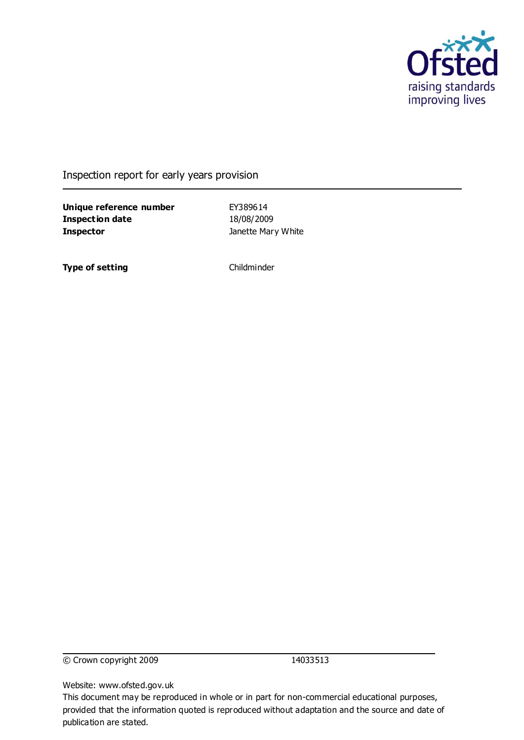

#### Inspection report for early years provision

**Unique reference number** EY389614 **Inspection date** 18/08/2009 **Inspector Inspector Inspector Janette Mary White** 

**Type of setting** Childminder

© Crown copyright 2009 14033513

Website: www.ofsted.gov.uk

This document may be reproduced in whole or in part for non-commercial educational purposes, provided that the information quoted is reproduced without adaptation and the source and date of publication are stated.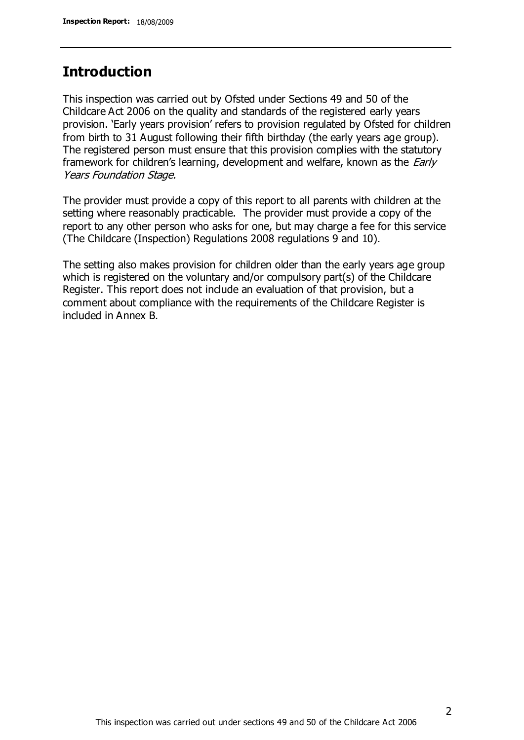# **Introduction**

This inspection was carried out by Ofsted under Sections 49 and 50 of the Childcare Act 2006 on the quality and standards of the registered early years provision. 'Early years provision' refers to provision regulated by Ofsted for children from birth to 31 August following their fifth birthday (the early years age group). The registered person must ensure that this provision complies with the statutory framework for children's learning, development and welfare, known as the *Early* Years Foundation Stage.

The provider must provide a copy of this report to all parents with children at the setting where reasonably practicable. The provider must provide a copy of the report to any other person who asks for one, but may charge a fee for this service (The Childcare (Inspection) Regulations 2008 regulations 9 and 10).

The setting also makes provision for children older than the early years age group which is registered on the voluntary and/or compulsory part(s) of the Childcare Register. This report does not include an evaluation of that provision, but a comment about compliance with the requirements of the Childcare Register is included in Annex B.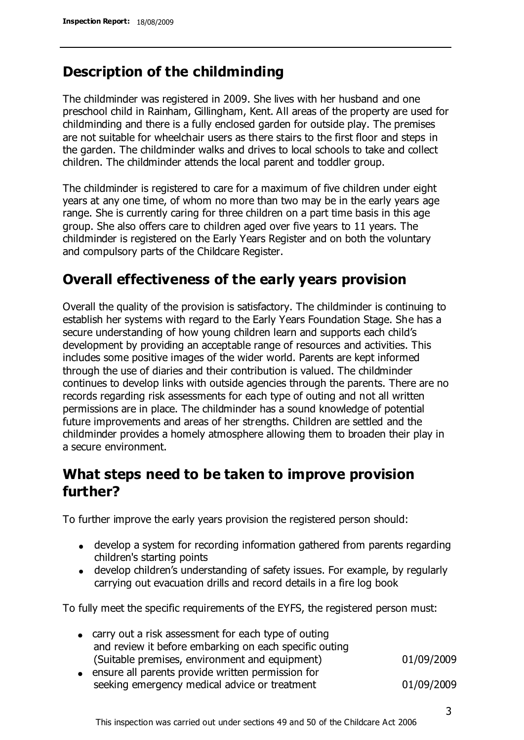# **Description of the childminding**

The childminder was registered in 2009. She lives with her husband and one preschool child in Rainham, Gillingham, Kent. All areas of the property are used for childminding and there is a fully enclosed garden for outside play. The premises are not suitable for wheelchair users as there stairs to the first floor and steps in the garden. The childminder walks and drives to local schools to take and collect children. The childminder attends the local parent and toddler group.

The childminder is registered to care for a maximum of five children under eight years at any one time, of whom no more than two may be in the early years age range. She is currently caring for three children on a part time basis in this age group. She also offers care to children aged over five years to 11 years. The childminder is registered on the Early Years Register and on both the voluntary and compulsory parts of the Childcare Register.

# **Overall effectiveness of the early years provision**

Overall the quality of the provision is satisfactory. The childminder is continuing to establish her systems with regard to the Early Years Foundation Stage. She has a secure understanding of how young children learn and supports each child's development by providing an acceptable range of resources and activities. This includes some positive images of the wider world. Parents are kept informed through the use of diaries and their contribution is valued. The childminder continues to develop links with outside agencies through the parents. There are no records regarding risk assessments for each type of outing and not all written permissions are in place. The childminder has a sound knowledge of potential future improvements and areas of her strengths. Children are settled and the childminder provides a homely atmosphere allowing them to broaden their play in a secure environment.

# **What steps need to be taken to improve provision further?**

To further improve the early years provision the registered person should:

- develop a system for recording information gathered from parents regarding children's starting points
- develop children's understanding of safety issues. For example, by regularly carrying out evacuation drills and record details in a fire log book

To fully meet the specific requirements of the EYFS, the registered person must:

| • carry out a risk assessment for each type of outing  |            |
|--------------------------------------------------------|------------|
| and review it before embarking on each specific outing |            |
| (Suitable premises, environment and equipment)         | 01/09/2009 |
| • ensure all parents provide written permission for    |            |
|                                                        |            |

seeking emergency medical advice or treatment 01/09/2009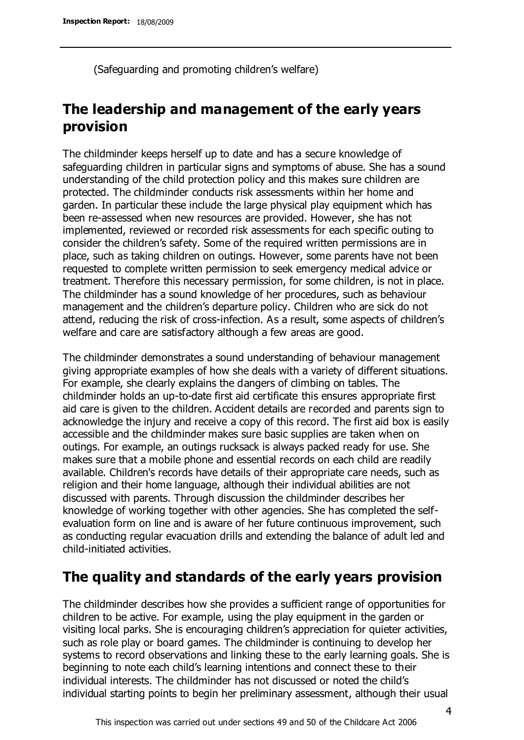(Safeguarding and promoting children's welfare)

# **The leadership and management of the early years provision**

The childminder keeps herself up to date and has a secure knowledge of safeguarding children in particular signs and symptoms of abuse. She has a sound understanding of the child protection policy and this makes sure children are protected. The childminder conducts risk assessments within her home and garden. In particular these include the large physical play equipment which has been re-assessed when new resources are provided. However, she has not implemented, reviewed or recorded risk assessments for each specific outing to consider the children's safety. Some of the required written permissions are in place, such as taking children on outings. However, some parents have not been requested to complete written permission to seek emergency medical advice or treatment. Therefore this necessary permission, for some children, is not in place. The childminder has a sound knowledge of her procedures, such as behaviour management and the children's departure policy. Children who are sick do not attend, reducing the risk of cross-infection. As a result, some aspects of children's welfare and care are satisfactory although a few areas are good.

The childminder demonstrates a sound understanding of behaviour management giving appropriate examples of how she deals with a variety of different situations. For example, she clearly explains the dangers of climbing on tables. The childminder holds an up-to-date first aid certificate this ensures appropriate first aid care is given to the children. Accident details are recorded and parents sign to acknowledge the injury and receive a copy of this record. The first aid box is easily accessible and the childminder makes sure basic supplies are taken when on outings. For example, an outings rucksack is always packed ready for use. She makes sure that a mobile phone and essential records on each child are readily available. Children's records have details of their appropriate care needs, such as religion and their home language, although their individual abilities are not discussed with parents. Through discussion the childminder describes her knowledge of working together with other agencies. She has completed the selfevaluation form on line and is aware of her future continuous improvement, such as conducting regular evacuation drills and extending the balance of adult led and child-initiated activities.

# **The quality and standards of the early years provision**

The childminder describes how she provides a sufficient range of opportunities for children to be active. For example, using the play equipment in the garden or visiting local parks. She is encouraging children's appreciation for quieter activities, such as role play or board games. The childminder is continuing to develop her systems to record observations and linking these to the early learning goals. She is beginning to note each child's learning intentions and connect these to their individual interests. The childminder has not discussed or noted the child's individual starting points to begin her preliminary assessment, although their usual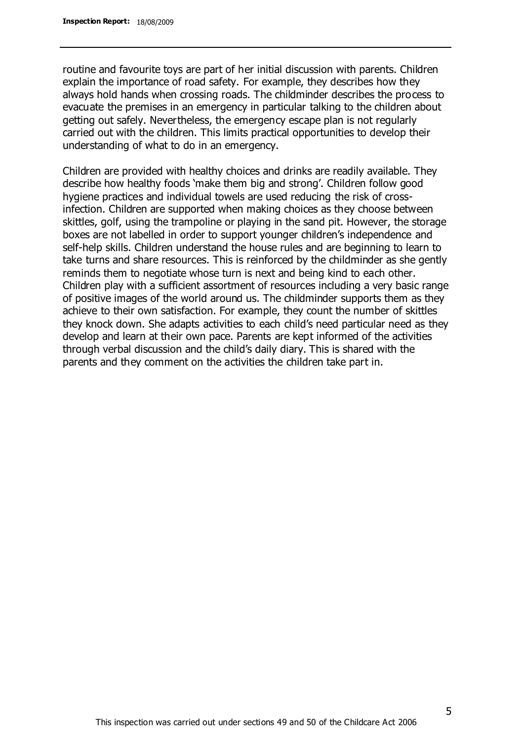routine and favourite toys are part of her initial discussion with parents. Children explain the importance of road safety. For example, they describes how they always hold hands when crossing roads. The childminder describes the process to evacuate the premises in an emergency in particular talking to the children about getting out safely. Nevertheless, the emergency escape plan is not regularly carried out with the children. This limits practical opportunities to develop their understanding of what to do in an emergency.

Children are provided with healthy choices and drinks are readily available. They describe how healthy foods 'make them big and strong'. Children follow good hygiene practices and individual towels are used reducing the risk of crossinfection. Children are supported when making choices as they choose between skittles, golf, using the trampoline or playing in the sand pit. However, the storage boxes are not labelled in order to support younger children's independence and self-help skills. Children understand the house rules and are beginning to learn to take turns and share resources. This is reinforced by the childminder as she gently reminds them to negotiate whose turn is next and being kind to each other. Children play with a sufficient assortment of resources including a very basic range of positive images of the world around us. The childminder supports them as they achieve to their own satisfaction. For example, they count the number of skittles they knock down. She adapts activities to each child's need particular need as they develop and learn at their own pace. Parents are kept informed of the activities through verbal discussion and the child's daily diary. This is shared with the parents and they comment on the activities the children take part in.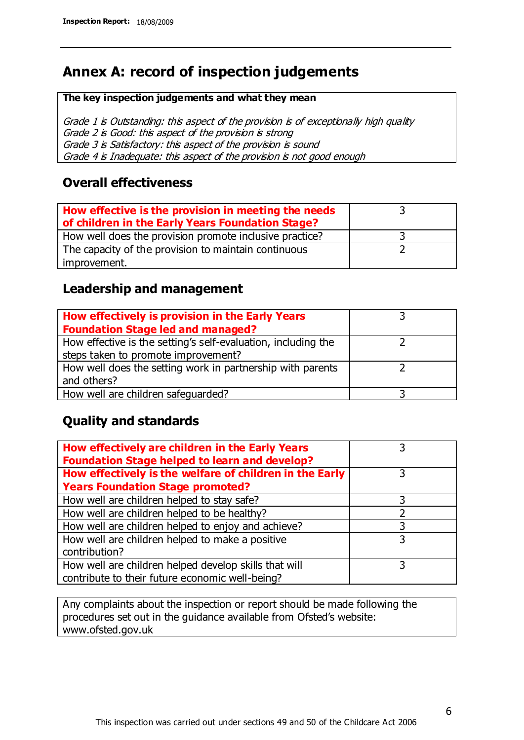# **Annex A: record of inspection judgements**

#### **The key inspection judgements and what they mean**

Grade 1 is Outstanding: this aspect of the provision is of exceptionally high quality Grade 2 is Good: this aspect of the provision is strong Grade 3 is Satisfactory: this aspect of the provision is sound Grade 4 is Inadequate: this aspect of the provision is not good enough

#### **Overall effectiveness**

| How effective is the provision in meeting the needs<br>of children in the Early Years Foundation Stage? |  |
|---------------------------------------------------------------------------------------------------------|--|
| How well does the provision promote inclusive practice?                                                 |  |
| The capacity of the provision to maintain continuous                                                    |  |
| improvement.                                                                                            |  |

### **Leadership and management**

| How effectively is provision in the Early Years               |  |
|---------------------------------------------------------------|--|
| <b>Foundation Stage led and managed?</b>                      |  |
| How effective is the setting's self-evaluation, including the |  |
| steps taken to promote improvement?                           |  |
| How well does the setting work in partnership with parents    |  |
| and others?                                                   |  |
| How well are children safeguarded?                            |  |

### **Quality and standards**

| How effectively are children in the Early Years<br><b>Foundation Stage helped to learn and develop?</b> |   |
|---------------------------------------------------------------------------------------------------------|---|
| How effectively is the welfare of children in the Early                                                 | 3 |
| <b>Years Foundation Stage promoted?</b>                                                                 |   |
| How well are children helped to stay safe?                                                              |   |
| How well are children helped to be healthy?                                                             |   |
| How well are children helped to enjoy and achieve?                                                      | 3 |
| How well are children helped to make a positive                                                         | 3 |
| contribution?                                                                                           |   |
| How well are children helped develop skills that will                                                   |   |
| contribute to their future economic well-being?                                                         |   |

Any complaints about the inspection or report should be made following the procedures set out in the guidance available from Ofsted's website: www.ofsted.gov.uk